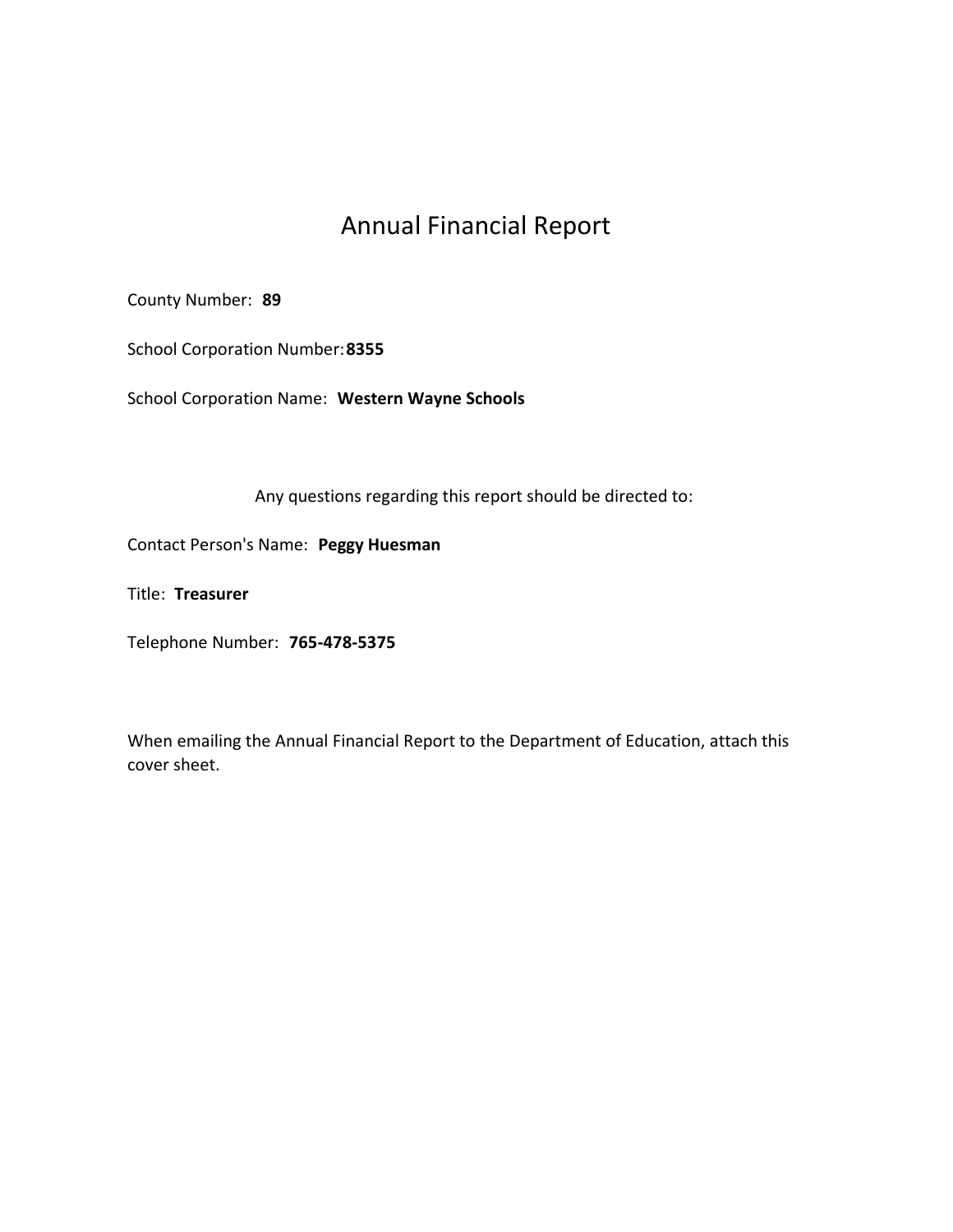# Annual Financial Report

County Number: 89

School Corporation Number:8355

School Corporation Name: Western Wayne Schools

Any questions regarding this report should be directed to:

Contact Person's Name: Peggy Huesman

Title: Treasurer

Telephone Number: 765-478-5375

When emailing the Annual Financial Report to the Department of Education, attach this cover sheet.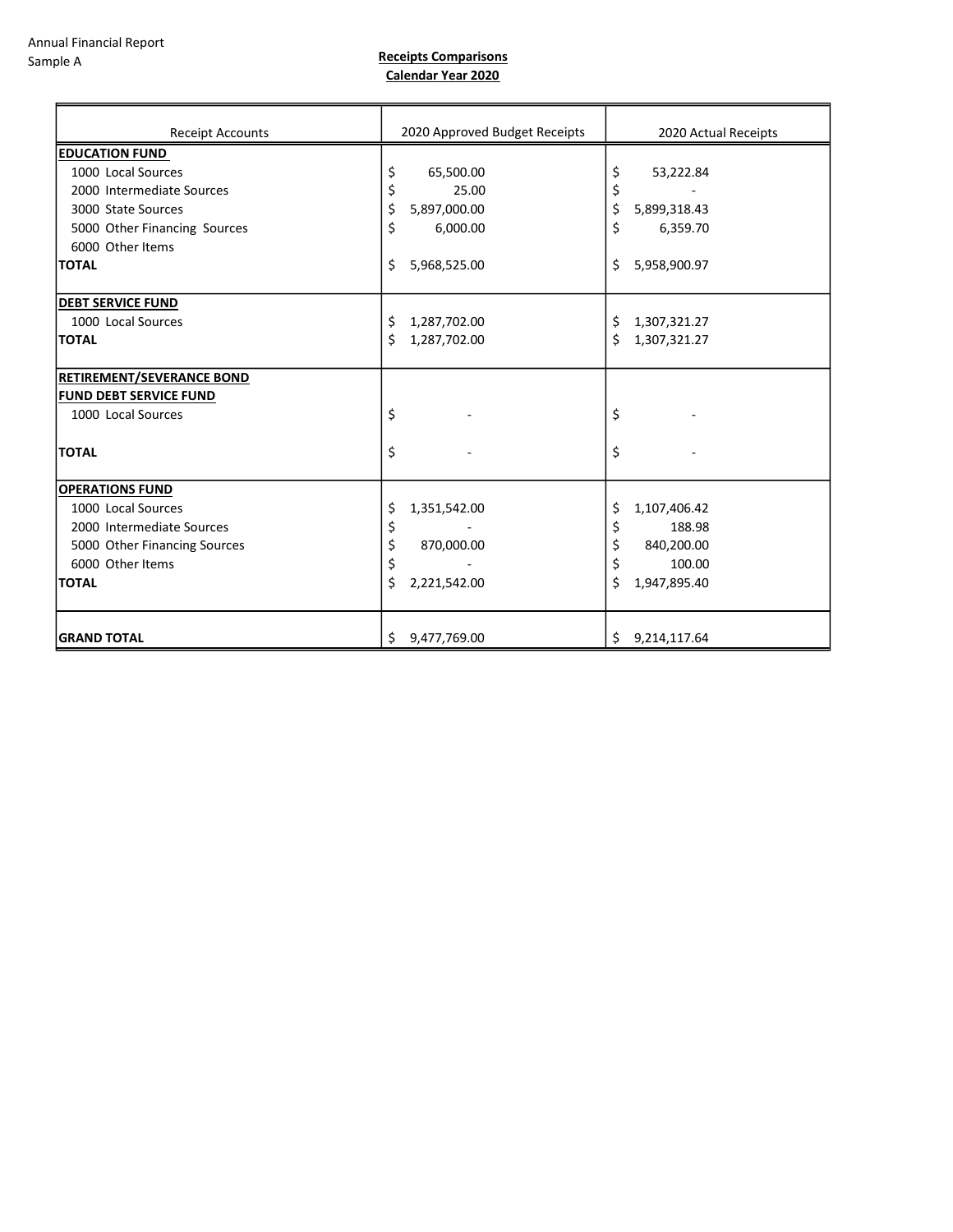Receipts Comparisons Calendar Year 2020

| <b>Receipt Accounts</b>       | 2020 Approved Budget Receipts | 2020 Actual Receipts |
|-------------------------------|-------------------------------|----------------------|
| <b>EDUCATION FUND</b>         |                               |                      |
| 1000 Local Sources            | 65,500.00<br>\$               | \$<br>53,222.84      |
| 2000 Intermediate Sources     | \$<br>25.00                   | \$                   |
| 3000 State Sources            | \$<br>5,897,000.00            | \$<br>5,899,318.43   |
| 5000 Other Financing Sources  | 6,000.00<br>\$                | \$<br>6,359.70       |
| 6000 Other Items              |                               |                      |
| <b>TOTAL</b>                  | \$<br>5,968,525.00            | 5,958,900.97<br>\$   |
| <b>DEBT SERVICE FUND</b>      |                               |                      |
| 1000 Local Sources            | 1,287,702.00<br>\$            | \$<br>1,307,321.27   |
| <b>TOTAL</b>                  | Ś.<br>1,287,702.00            | \$<br>1,307,321.27   |
| RETIREMENT/SEVERANCE BOND     |                               |                      |
| <b>FUND DEBT SERVICE FUND</b> |                               |                      |
| 1000 Local Sources            | \$                            | \$                   |
| <b>TOTAL</b>                  | \$                            | \$                   |
| <b>OPERATIONS FUND</b>        |                               |                      |
| 1000 Local Sources            | \$<br>1,351,542.00            | 1,107,406.42<br>\$   |
| 2000 Intermediate Sources     | \$                            | \$<br>188.98         |
| 5000 Other Financing Sources  | \$<br>870,000.00              | \$<br>840,200.00     |
| 6000 Other Items              | \$                            | \$<br>100.00         |
| <b>TOTAL</b>                  | \$<br>2,221,542.00            | \$<br>1,947,895.40   |
|                               |                               |                      |
| <b>GRAND TOTAL</b>            | 9,477,769.00<br>\$            | \$9,214,117.64       |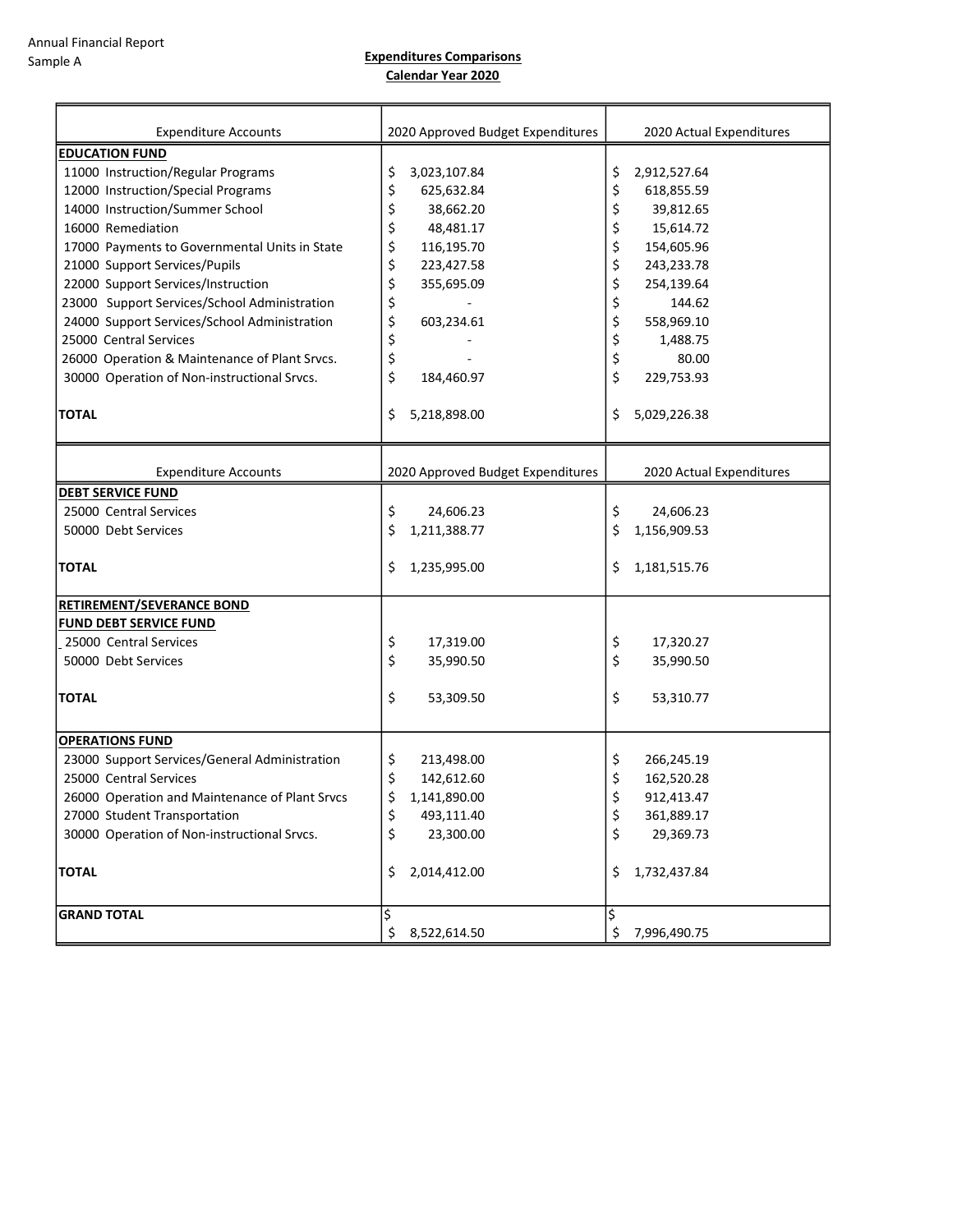Expenditures Comparisons Calendar Year 2020

| <b>Expenditure Accounts</b>                    | 2020 Approved Budget Expenditures | 2020 Actual Expenditures |
|------------------------------------------------|-----------------------------------|--------------------------|
| <b>EDUCATION FUND</b>                          |                                   |                          |
| 11000 Instruction/Regular Programs             | \$<br>3,023,107.84                | 2,912,527.64<br>\$       |
| 12000 Instruction/Special Programs             | \$<br>625,632.84                  | \$<br>618,855.59         |
| 14000 Instruction/Summer School                | \$<br>38,662.20                   | \$<br>39,812.65          |
| 16000 Remediation                              | \$<br>48,481.17                   | \$<br>15,614.72          |
| 17000 Payments to Governmental Units in State  | 116,195.70                        | \$<br>154,605.96         |
| 21000 Support Services/Pupils                  | \$                                |                          |
|                                                | \$<br>223,427.58                  | \$<br>243,233.78         |
| 22000 Support Services/Instruction             | \$<br>355,695.09                  | \$<br>254,139.64         |
| 23000 Support Services/School Administration   | \$                                | \$<br>144.62             |
| 24000 Support Services/School Administration   | \$<br>603,234.61                  | \$<br>558,969.10         |
| 25000 Central Services                         | \$                                | \$<br>1,488.75           |
| 26000 Operation & Maintenance of Plant Srvcs.  | \$                                | \$<br>80.00              |
| 30000 Operation of Non-instructional Srvcs.    | \$<br>184,460.97                  | \$<br>229,753.93         |
|                                                |                                   |                          |
| <b>TOTAL</b>                                   | \$<br>5,218,898.00                | 5,029,226.38<br>\$       |
|                                                |                                   |                          |
|                                                |                                   |                          |
| <b>Expenditure Accounts</b>                    | 2020 Approved Budget Expenditures | 2020 Actual Expenditures |
| <b>DEBT SERVICE FUND</b>                       |                                   |                          |
| 25000 Central Services                         | \$<br>24,606.23                   | \$<br>24,606.23          |
| 50000 Debt Services                            | \$<br>1,211,388.77                | \$<br>1,156,909.53       |
|                                                |                                   |                          |
| <b>TOTAL</b>                                   | \$<br>1,235,995.00                | 1,181,515.76<br>\$.      |
|                                                |                                   |                          |
| RETIREMENT/SEVERANCE BOND                      |                                   |                          |
| <b>FUND DEBT SERVICE FUND</b>                  |                                   |                          |
| 25000 Central Services                         | \$<br>17,319.00                   | \$<br>17,320.27          |
| 50000 Debt Services                            | \$<br>35,990.50                   | \$<br>35,990.50          |
|                                                |                                   |                          |
| <b>TOTAL</b>                                   | \$<br>53,309.50                   |                          |
|                                                |                                   | \$<br>53,310.77          |
|                                                |                                   |                          |
| <b>OPERATIONS FUND</b>                         |                                   |                          |
| 23000 Support Services/General Administration  | \$<br>213,498.00                  | \$<br>266,245.19         |
| 25000 Central Services                         | \$<br>142,612.60                  | \$<br>162,520.28         |
| 26000 Operation and Maintenance of Plant Srvcs | 1,141,890.00<br>Ş                 | 912,413.47<br>Ş          |
| 27000 Student Transportation                   | \$<br>493,111.40                  | \$<br>361,889.17         |
| 30000 Operation of Non-instructional Srvcs.    | \$<br>23,300.00                   | \$<br>29,369.73          |
|                                                |                                   |                          |
| <b>TOTAL</b>                                   | \$<br>2,014,412.00                | 1,732,437.84<br>\$       |
|                                                |                                   |                          |
|                                                |                                   |                          |
| <b>GRAND TOTAL</b>                             | \$                                | l\$                      |
|                                                | \$<br>8,522,614.50                | \$<br>7,996,490.75       |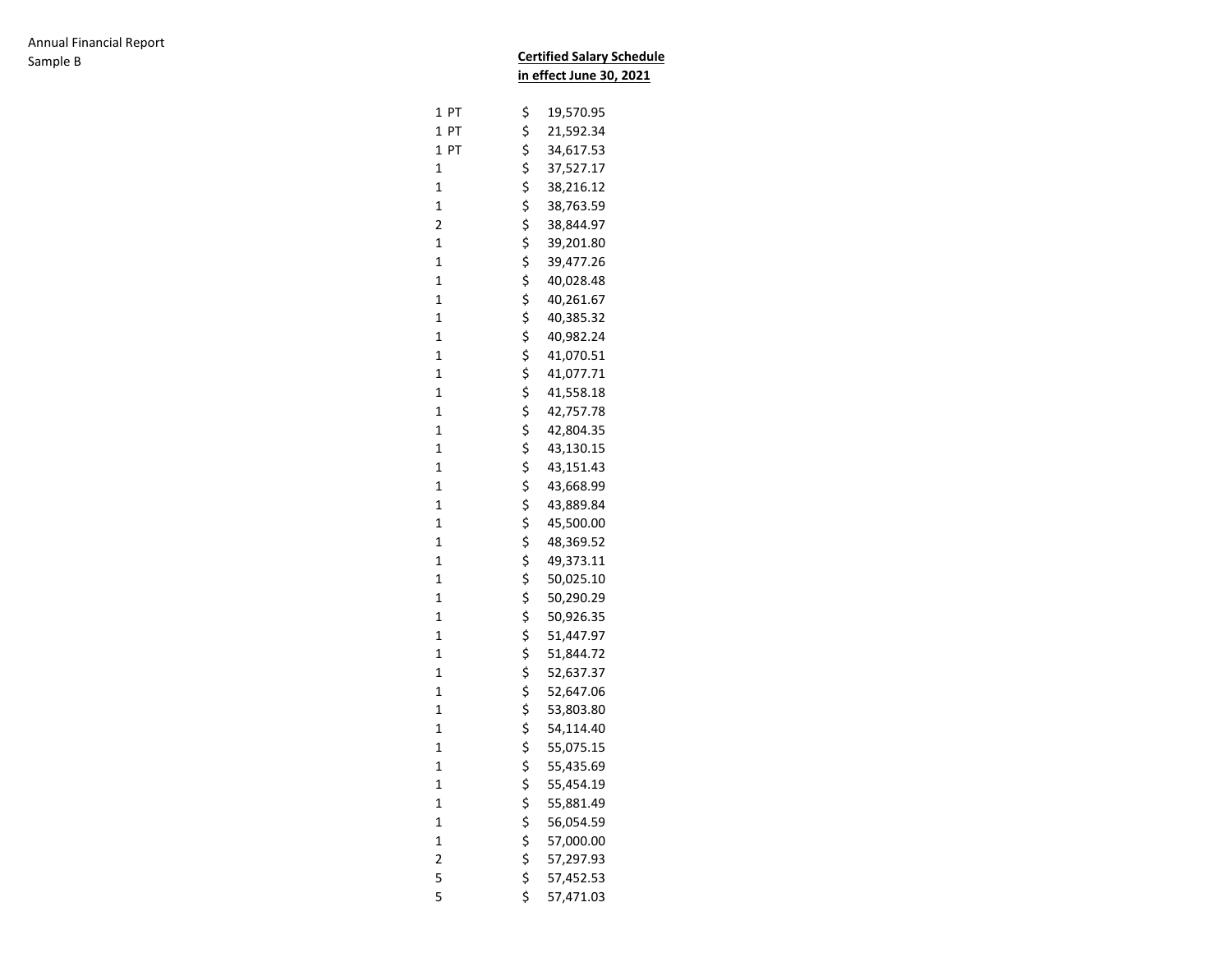|                                            | <b>Certified Salary Schedule</b> |                         |  |
|--------------------------------------------|----------------------------------|-------------------------|--|
|                                            |                                  | in effect June 30, 2021 |  |
| 1 PT                                       | \$                               | 19,570.95               |  |
| $\mathbf{1}$<br>PT                         | \$                               | 21,592.34               |  |
| 1<br>PT                                    | \$                               | 34,617.53               |  |
| $\mathbf 1$                                | \$                               | 37,527.17               |  |
| $\mathbf 1$                                | \$                               | 38,216.12               |  |
| $\mathbf 1$                                | \$                               | 38,763.59               |  |
| $\overline{\mathbf{c}}$                    | \$                               | 38,844.97               |  |
| $\mathbf 1$                                | \$                               | 39,201.80               |  |
| $\mathbf 1$                                | \$                               | 39,477.26               |  |
| $\mathbf 1$                                | \$                               | 40,028.48               |  |
| $\mathbf 1$                                | \$                               | 40,261.67               |  |
| $\mathbf 1$                                | \$                               | 40,385.32               |  |
| $\mathbf 1$                                | \$                               | 40,982.24               |  |
| $\mathbf 1$                                | \$                               | 41,070.51               |  |
| $\mathbf 1$                                | \$                               | 41,077.71               |  |
| $\mathbf 1$                                | \$                               | 41,558.18               |  |
| $\mathbf 1$                                | \$                               | 42,757.78               |  |
| $\mathbf 1$                                | \$                               | 42,804.35               |  |
| $\mathbf 1$                                | \$                               | 43,130.15               |  |
| $\mathbf 1$                                | \$                               | 43,151.43               |  |
| $\mathbf 1$                                | \$                               | 43,668.99               |  |
| $\mathbf 1$                                | \$                               | 43,889.84               |  |
| $\mathbf 1$                                | \$                               | 45,500.00               |  |
| $\mathbf 1$                                | \$                               | 48,369.52               |  |
| $\mathbf 1$                                | \$                               | 49,373.11               |  |
| $\mathbf 1$                                | \$                               | 50,025.10               |  |
| $\mathbf 1$                                | \$                               | 50,290.29               |  |
| $\mathbf 1$                                | \$                               | 50,926.35               |  |
| $\mathbf 1$                                | \$                               | 51,447.97               |  |
| $\mathbf 1$                                | \$                               | 51,844.72               |  |
| $\mathbf 1$                                | \$                               | 52,637.37               |  |
| $\mathbf 1$                                | \$                               | 52,647.06               |  |
| $\mathbf 1$                                | \$                               | 53,803.80               |  |
| $\mathbf{1}$                               | \$                               | 54,114.40               |  |
| 1                                          | Ş                                | 55,075.15               |  |
| $\mathbf{1}$                               |                                  | 55,435.69               |  |
| $\mathbf{1}$                               | \$<br>\$                         | 55,454.19               |  |
| $\mathbf{1}$                               |                                  | 55,881.49               |  |
| $\mathbf{1}$                               | \$\$\$\$\$                       | 56,054.59               |  |
|                                            |                                  | 57,000.00               |  |
| $\begin{array}{c} 1 \\ 2 \\ 5 \end{array}$ |                                  | 57,297.93               |  |
|                                            |                                  | 57,452.53               |  |
| 5                                          | \$                               | 57,471.03               |  |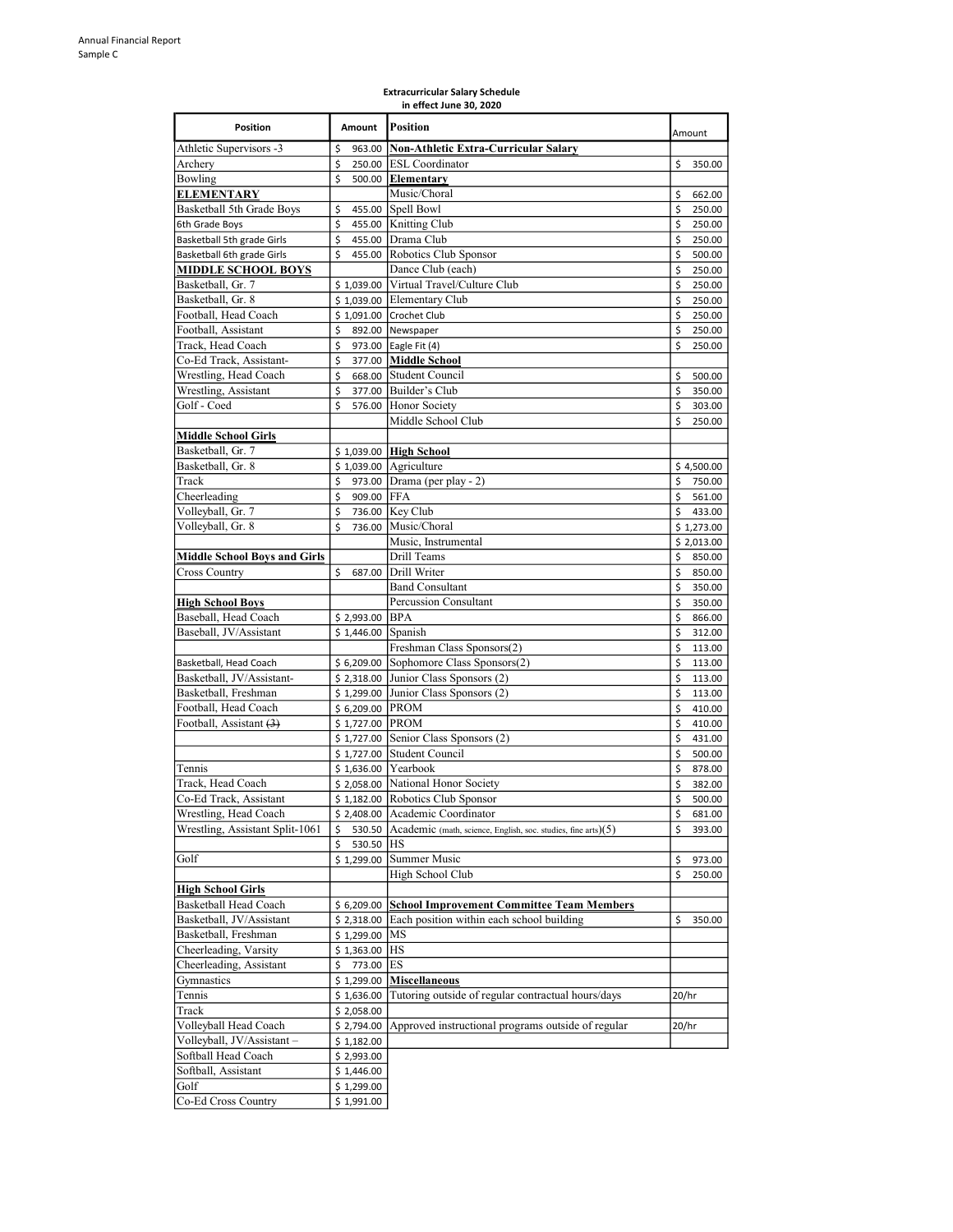| Position                                          | Amount               | Position                                                                | Amount                       |
|---------------------------------------------------|----------------------|-------------------------------------------------------------------------|------------------------------|
| Athletic Supervisors -3                           | \$<br>963.00         | <b>Non-Athletic Extra-Curricular Salary</b>                             |                              |
| Archery                                           | \$                   | 250.00 ESL Coordinator                                                  | \$<br>350.00                 |
| Bowling<br><b>ELEMENTARY</b>                      | \$                   | 500.00 Elementary<br>Music/Choral                                       |                              |
| Basketball 5th Grade Boys                         | \$                   | 455.00 Spell Bowl                                                       | \$<br>662.00<br>\$<br>250.00 |
| 6th Grade Boys                                    | \$                   | 455.00 Knitting Club                                                    | \$<br>250.00                 |
| Basketball 5th grade Girls                        | \$                   | 455.00 Drama Club                                                       | \$<br>250.00                 |
| Basketball 6th grade Girls                        | Ś                    | 455.00 Robotics Club Sponsor                                            | \$<br>500.00                 |
| <u>MIDDLE SCHOOL BOYS</u>                         |                      | Dance Club (each)                                                       | \$<br>250.00                 |
| Basketball, Gr. 7                                 |                      | \$1,039.00 Virtual Travel/Culture Club                                  | \$<br>250.00                 |
| Basketball, Gr. 8                                 |                      | $$1,039.00$ Elementary Club                                             | \$<br>250.00                 |
| Football, Head Coach                              |                      | \$1,091.00 Crochet Club                                                 | \$<br>250.00                 |
| Football, Assistant                               | \$                   | 892.00 Newspaper                                                        | \$<br>250.00                 |
| Track, Head Coach                                 | \$                   | 973.00 Eagle Fit (4)                                                    | \$<br>250.00                 |
| Co-Ed Track, Assistant-                           | \$                   | 377.00 Middle School                                                    |                              |
| Wrestling, Head Coach                             | \$                   | 668.00 Student Council                                                  | \$<br>500.00                 |
| Wrestling, Assistant                              | \$                   | 377.00 Builder's Club                                                   | \$<br>350.00                 |
| Golf - Coed                                       | Ś                    | 576.00 Honor Society                                                    | \$<br>303.00                 |
|                                                   |                      | Middle School Club                                                      | \$<br>250.00                 |
| <u> Middle School Girls</u>                       |                      |                                                                         |                              |
| Basketball, Gr. 7                                 |                      | \$ 1,039.00 High School                                                 |                              |
| Basketball, Gr. 8                                 |                      | $$1,039.00$ Agriculture                                                 | \$4,500.00                   |
| Track                                             | \$                   | 973.00 Drama (per play - 2)                                             | \$<br>750.00                 |
| Cheerleading                                      | \$<br>909.00 FFA     |                                                                         | \$<br>561.00<br>Ś            |
| Volleyball, Gr. 7<br>Volleyball, Gr. 8            | \$<br>Ś              | 736.00 Key Club<br>736.00 Music/Choral                                  | 433.00                       |
|                                                   |                      | Music, Instrumental                                                     | \$1,273.00<br>\$2,013.00     |
| <b>Middle School Boys and Girls</b>               |                      | Drill Teams                                                             | \$<br>850.00                 |
| Cross Country                                     | \$                   | 687.00 Drill Writer                                                     | \$<br>850.00                 |
|                                                   |                      | <b>Band Consultant</b>                                                  | \$<br>350.00                 |
| <b>High School Boys</b>                           |                      | Percussion Consultant                                                   | \$<br>350.00                 |
| Baseball, Head Coach                              | \$2,993.00 BPA       |                                                                         | \$<br>866.00                 |
| Baseball, JV/Assistant                            | \$1,446.00 Spanish   |                                                                         | \$<br>312.00                 |
|                                                   |                      | Freshman Class Sponsors(2)                                              | \$<br>113.00                 |
| Basketball, Head Coach                            |                      | $$6,209.00$ Sophomore Class Sponsors(2)                                 | \$<br>113.00                 |
| Basketball, JV/Assistant-                         |                      | $$2,318.00$ Junior Class Sponsors (2)                                   | \$<br>113.00                 |
| Basketball, Freshman                              |                      | $$1,299.00$ Junior Class Sponsors (2)                                   | \$<br>113.00                 |
| Football, Head Coach                              | \$ 6,209.00 PROM     |                                                                         | \$<br>410.00                 |
| Football, Assistant (3)                           | \$1,727.00 PROM      |                                                                         | \$<br>410.00                 |
|                                                   |                      | $$1,727.00$ Senior Class Sponsors (2)                                   | \$<br>431.00                 |
|                                                   |                      | \$1,727.00 Student Council                                              | \$<br>500.00                 |
| Tennis                                            | $$1,636.00$ Yearbook |                                                                         | \$<br>878.00                 |
| Track, Head Coach                                 |                      | \$ 2,058.00 National Honor Society                                      | \$<br>382.00                 |
| Co-Ed Track, Assistant                            |                      | \$1,182.00 Robotics Club Sponsor                                        | \$<br>500.00                 |
| Wrestling, Head Coach                             |                      | \$2,408.00 Academic Coordinator                                         | 681.00<br>\$                 |
| Wrestling, Assistant Split-1061                   | \$                   | 530.50 Academic (math, science, English, soc. studies, fine arts) $(5)$ | \$<br>393.00                 |
|                                                   | \$<br>530.50 HS      |                                                                         |                              |
| Golf                                              | \$1,299.00           | Summer Music                                                            | \$<br>973.00                 |
|                                                   |                      | High School Club                                                        | \$<br>250.00                 |
| <b>High School Girls</b><br>Basketball Head Coach | \$6,209.00           | <b>School Improvement Committee Team Members</b>                        |                              |
| Basketball, JV/Assistant                          | \$2,318.00           | Each position within each school building                               | \$<br>350.00                 |
| Basketball, Freshman                              | \$1,299.00           | MS                                                                      |                              |
| Cheerleading, Varsity                             | $$1,363.00$ HS       |                                                                         |                              |
| Cheerleading, Assistant                           | 773.00 ES<br>\$      |                                                                         |                              |
| Gymnastics                                        | \$1,299.00           | <b>Miscellaneous</b>                                                    |                              |
| Tennis                                            | \$1,636.00           | Tutoring outside of regular contractual hours/days                      | 20/hr                        |
| Track                                             | \$2,058.00           |                                                                         |                              |
| Volleyball Head Coach                             | \$2,794.00           | Approved instructional programs outside of regular                      | 20/hr                        |
| Volleyball, JV/Assistant -                        | \$1,182.00           |                                                                         |                              |
| Softball Head Coach                               | \$2,993.00           |                                                                         |                              |
| Softball, Assistant                               | \$1,446.00           |                                                                         |                              |
| Golf                                              | \$1,299.00           |                                                                         |                              |
| Co-Ed Cross Country                               | \$1,991.00           |                                                                         |                              |

#### Extracurricular Salary Schedule in effect June 30, 2020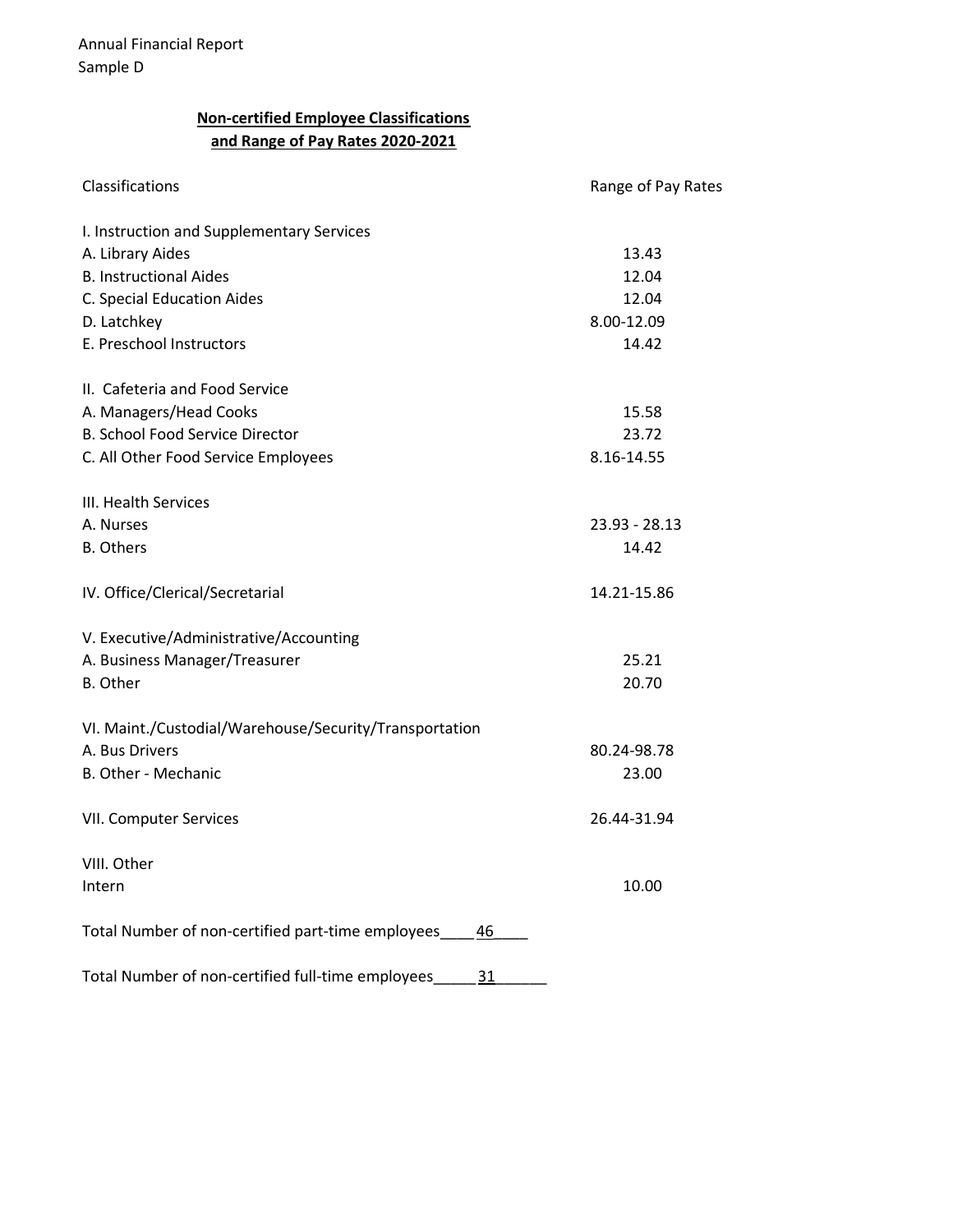## Non-certified Employee Classifications and Range of Pay Rates 2020-2021

| Classifications                                         | Range of Pay Rates |
|---------------------------------------------------------|--------------------|
| I. Instruction and Supplementary Services               |                    |
| A. Library Aides                                        | 13.43              |
| <b>B. Instructional Aides</b>                           | 12.04              |
| C. Special Education Aides                              | 12.04              |
| D. Latchkey                                             | 8.00-12.09         |
| E. Preschool Instructors                                | 14.42              |
| II. Cafeteria and Food Service                          |                    |
| A. Managers/Head Cooks                                  | 15.58              |
| <b>B. School Food Service Director</b>                  | 23.72              |
| C. All Other Food Service Employees                     | 8.16-14.55         |
| III. Health Services                                    |                    |
| A. Nurses                                               | 23.93 - 28.13      |
| <b>B.</b> Others                                        | 14.42              |
| IV. Office/Clerical/Secretarial                         | 14.21-15.86        |
| V. Executive/Administrative/Accounting                  |                    |
| A. Business Manager/Treasurer                           | 25.21              |
| <b>B.</b> Other                                         | 20.70              |
| VI. Maint./Custodial/Warehouse/Security/Transportation  |                    |
| A. Bus Drivers                                          | 80.24-98.78        |
| B. Other - Mechanic                                     | 23.00              |
| VII. Computer Services                                  | 26.44-31.94        |
| VIII. Other                                             |                    |
| Intern                                                  | 10.00              |
| Total Number of non-certified part-time employees<br>46 |                    |
| Total Number of non-certified full-time employees<br>31 |                    |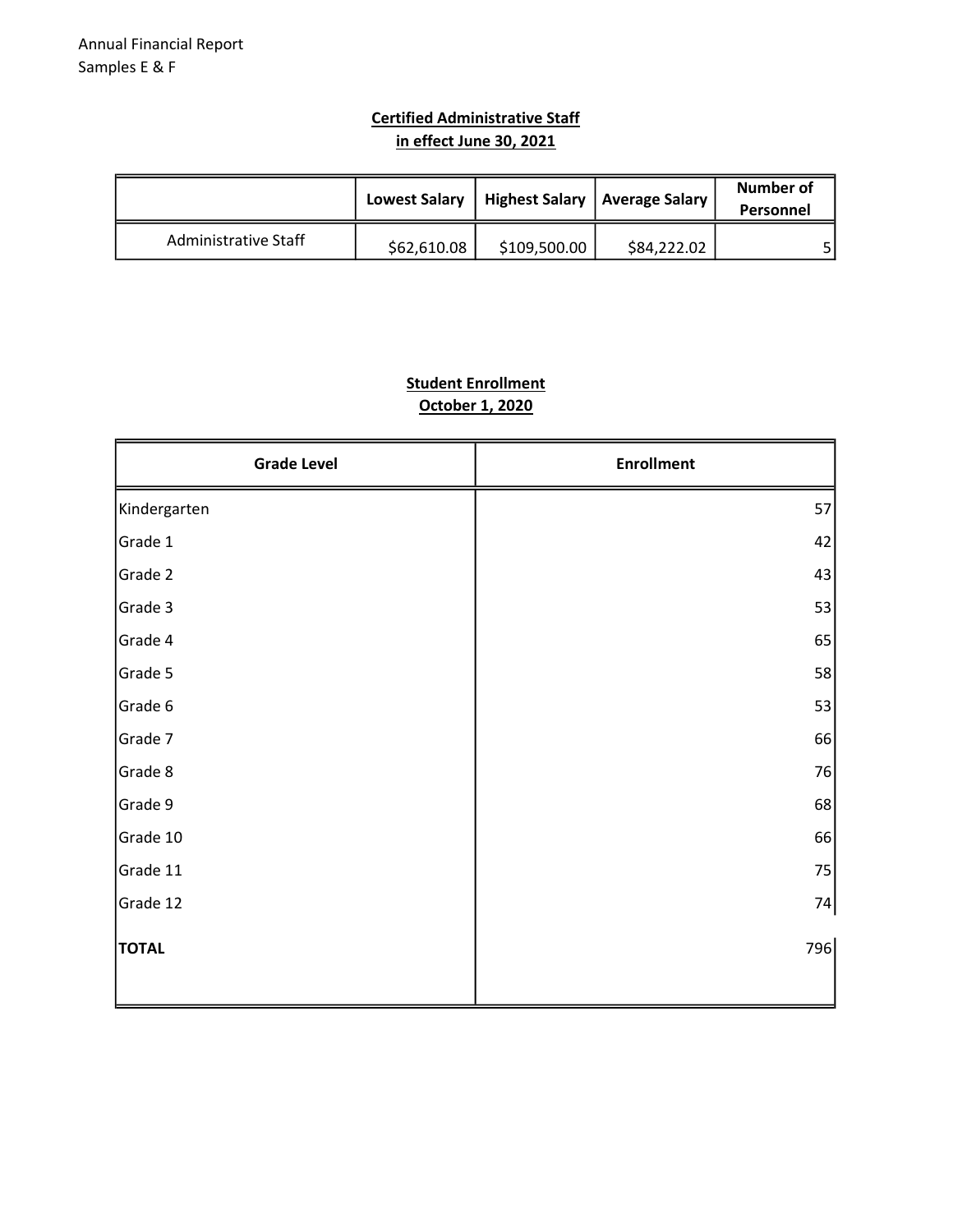### Certified Administrative Staff in effect June 30, 2021

|                      | <b>Lowest Salary</b> | Highest Salary   Average Salary |             | Number of<br>Personnel |
|----------------------|----------------------|---------------------------------|-------------|------------------------|
| Administrative Staff | \$62,610.08          | \$109,500.00                    | \$84,222.02 |                        |

## Student Enrollment October 1, 2020

| <b>Grade Level</b> | <b>Enrollment</b> |
|--------------------|-------------------|
| Kindergarten       | 57                |
| Grade 1            | 42                |
| Grade 2            | 43                |
| Grade 3            | 53                |
| Grade 4            | 65                |
| Grade 5            | 58                |
| Grade 6            | 53                |
| Grade 7            | 66                |
| Grade 8            | 76                |
| Grade 9            | 68                |
| Grade 10           | 66                |
| Grade 11           | 75                |
| Grade 12           | 74                |
| <b>TOTAL</b>       | 796               |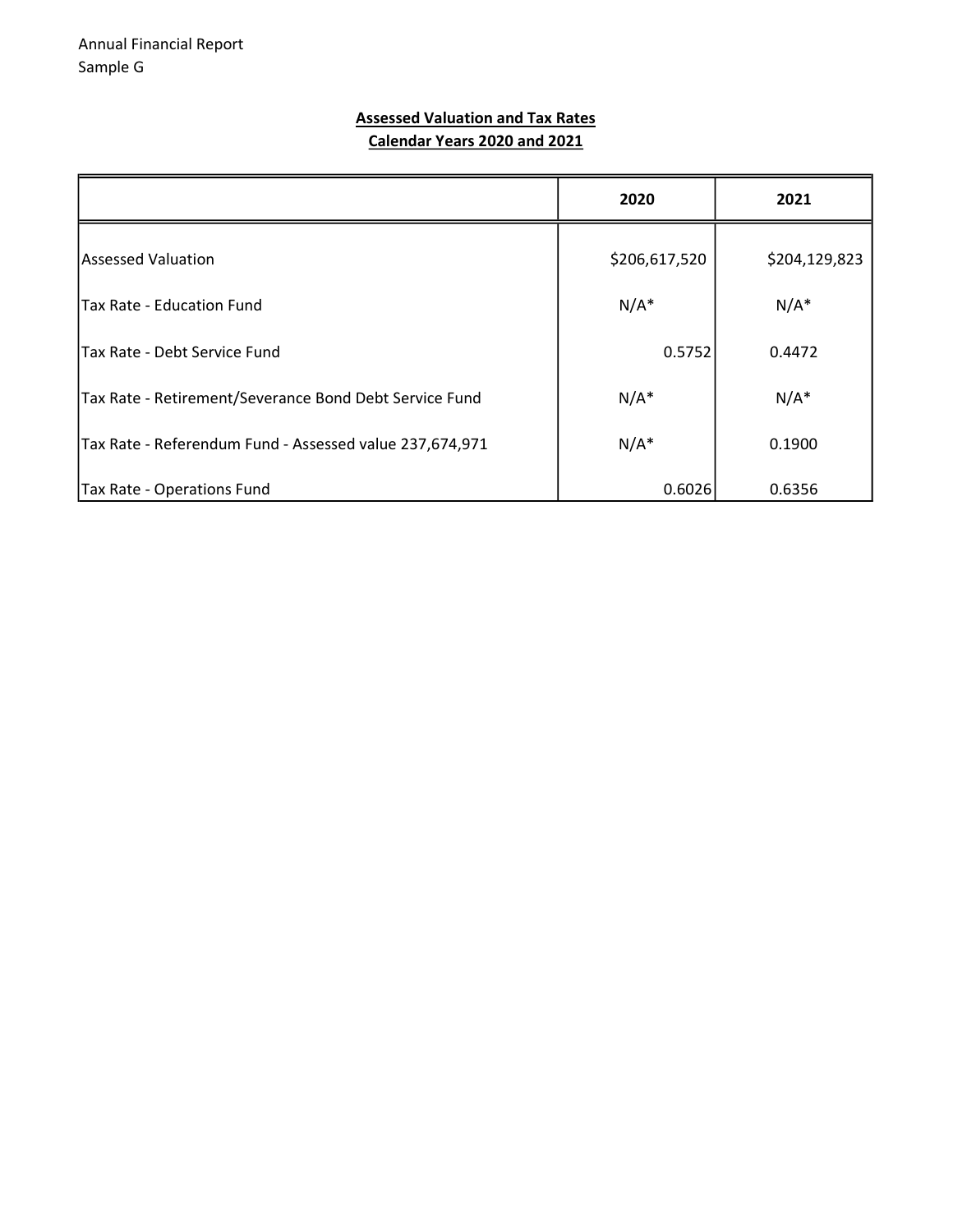#### Assessed Valuation and Tax Rates Calendar Years 2020 and 2021

|                                                         | 2020          | 2021          |
|---------------------------------------------------------|---------------|---------------|
| lAssessed Valuation                                     | \$206,617,520 | \$204,129,823 |
| <b>Tax Rate - Education Fund</b>                        | $N/A^*$       | $N/A^*$       |
| lTax Rate - Debt Service Fund                           | 0.5752        | 0.4472        |
| Tax Rate - Retirement/Severance Bond Debt Service Fund  | $N/A^*$       | $N/A^*$       |
| Tax Rate - Referendum Fund - Assessed value 237,674,971 | $N/A^*$       | 0.1900        |
| Tax Rate - Operations Fund                              | 0.6026        | 0.6356        |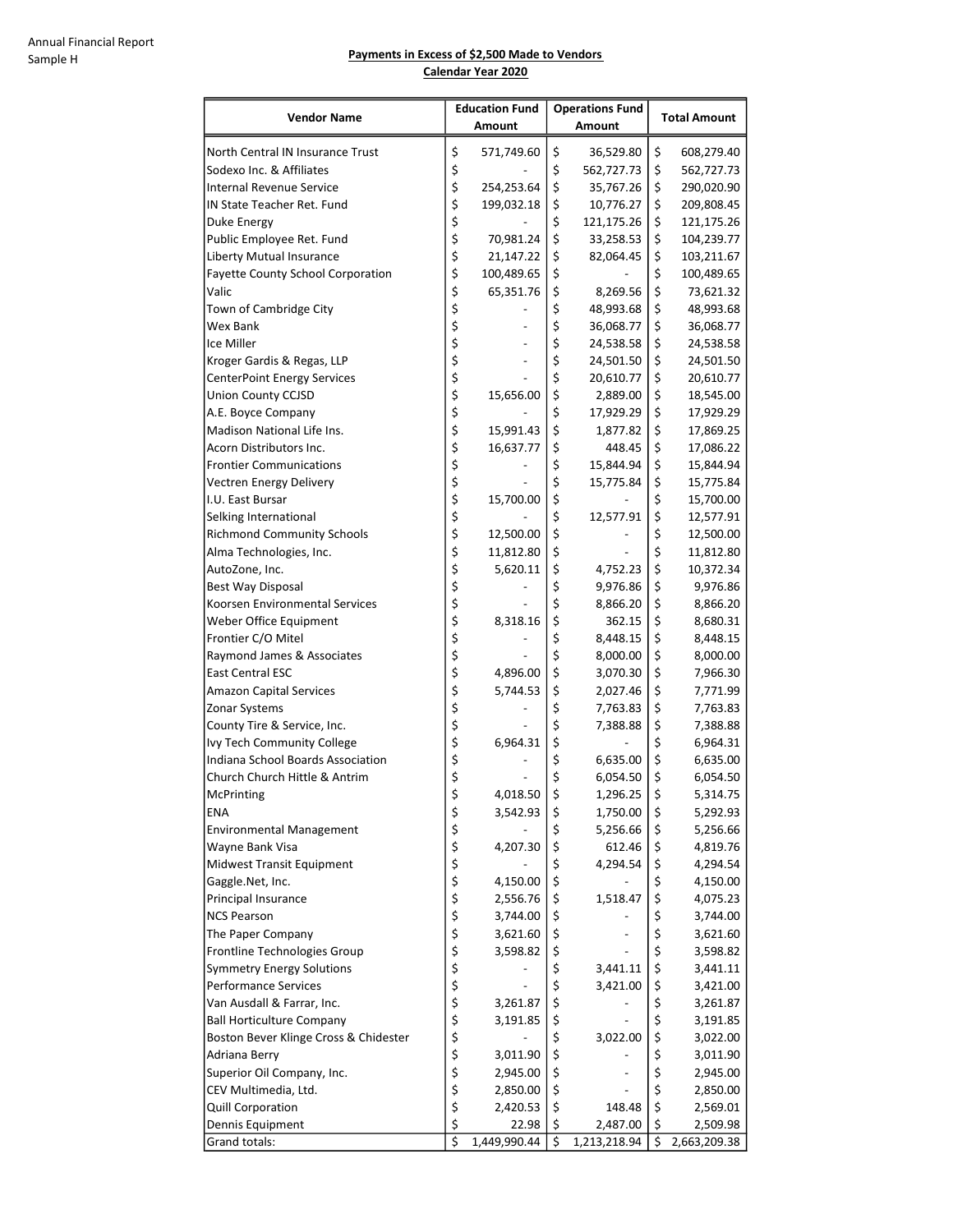#### Payments in Excess of \$2,500 Made to Vendors Calendar Year 2020

| <b>Vendor Name</b>                       | <b>Education Fund</b>               |                      | <b>Operations Fund</b> |              | <b>Total Amount</b> |                      |
|------------------------------------------|-------------------------------------|----------------------|------------------------|--------------|---------------------|----------------------|
|                                          |                                     | Amount               |                        | Amount       |                     |                      |
| North Central IN Insurance Trust         | \$                                  | 571,749.60           | \$                     | 36,529.80    | \$                  | 608,279.40           |
| Sodexo Inc. & Affiliates                 | \$                                  |                      | \$                     | 562,727.73   | \$                  | 562,727.73           |
| <b>Internal Revenue Service</b>          | \$                                  | 254,253.64           | \$                     | 35,767.26    | \$                  | 290,020.90           |
| IN State Teacher Ret. Fund               | \$                                  | 199,032.18           | \$                     | 10,776.27    | \$                  | 209,808.45           |
| Duke Energy                              | \$                                  |                      | \$                     | 121,175.26   | \$                  | 121,175.26           |
| Public Employee Ret. Fund                | \$                                  | 70,981.24            | \$                     | 33,258.53    | \$                  | 104,239.77           |
| Liberty Mutual Insurance                 | \$                                  | 21,147.22            | \$                     | 82,064.45    | \$                  | 103,211.67           |
| <b>Fayette County School Corporation</b> | \$                                  | 100,489.65           | \$                     |              | \$                  | 100,489.65           |
| Valic                                    | \$                                  | 65,351.76            | \$                     | 8,269.56     | \$                  | 73,621.32            |
| Town of Cambridge City                   | \$                                  |                      | \$                     | 48,993.68    | \$                  | 48,993.68            |
| Wex Bank                                 | \$                                  |                      | \$                     | 36,068.77    | \$                  | 36,068.77            |
| Ice Miller                               | \$                                  |                      | \$                     | 24,538.58    | \$                  | 24,538.58            |
| Kroger Gardis & Regas, LLP               | \$                                  |                      | \$                     | 24,501.50    | \$                  | 24,501.50            |
| <b>CenterPoint Energy Services</b>       | \$                                  |                      | \$                     | 20,610.77    | \$                  | 20,610.77            |
| <b>Union County CCJSD</b>                | \$                                  | 15,656.00            | \$                     | 2,889.00     | \$                  | 18,545.00            |
| A.E. Boyce Company                       | \$                                  |                      | \$                     | 17,929.29    | \$                  | 17,929.29            |
| Madison National Life Ins.               | \$                                  | 15,991.43            | \$                     | 1,877.82     | \$                  | 17,869.25            |
| Acorn Distributors Inc.                  | \$                                  | 16,637.77            | \$                     | 448.45       | \$                  | 17,086.22            |
| <b>Frontier Communications</b>           | \$                                  |                      | \$                     | 15,844.94    | \$                  | 15,844.94            |
| Vectren Energy Delivery                  | \$                                  |                      | \$                     | 15,775.84    | \$                  | 15,775.84            |
| I.U. East Bursar                         | \$                                  | 15,700.00            | \$                     |              | \$                  | 15,700.00            |
| Selking International                    | \$                                  |                      | \$                     | 12,577.91    | \$                  | 12,577.91            |
| <b>Richmond Community Schools</b>        | \$                                  | 12,500.00            | \$                     |              | \$                  | 12,500.00            |
| Alma Technologies, Inc.                  | \$                                  | 11,812.80            | \$                     |              | \$                  | 11,812.80            |
| AutoZone, Inc.                           | \$                                  | 5,620.11             | \$                     | 4,752.23     | \$                  | 10,372.34            |
| Best Way Disposal                        | \$                                  |                      | \$                     | 9,976.86     | \$                  | 9,976.86             |
| Koorsen Environmental Services           | \$                                  |                      | \$                     | 8,866.20     | \$                  | 8,866.20             |
| Weber Office Equipment                   | \$                                  | 8,318.16             | \$                     | 362.15       | \$                  | 8,680.31             |
| Frontier C/O Mitel                       | \$                                  |                      | \$                     | 8,448.15     | \$                  | 8,448.15             |
| Raymond James & Associates               | \$                                  |                      | \$                     | 8,000.00     | \$                  | 8,000.00             |
| <b>East Central ESC</b>                  | \$                                  | 4,896.00             | \$                     | 3,070.30     | \$                  | 7,966.30             |
| <b>Amazon Capital Services</b>           | \$                                  | 5,744.53             | \$                     | 2,027.46     | \$                  | 7,771.99             |
| Zonar Systems                            | \$                                  |                      | \$                     | 7,763.83     | \$                  | 7,763.83             |
| County Tire & Service, Inc.              | \$                                  |                      | \$                     | 7,388.88     | \$                  | 7,388.88             |
| Ivy Tech Community College               | \$                                  | 6,964.31             | \$                     |              | \$                  | 6,964.31             |
| Indiana School Boards Association        | \$                                  |                      | \$                     | 6,635.00     | \$                  | 6,635.00             |
| Church Church Hittle & Antrim            | \$                                  |                      | \$                     | 6,054.50     | \$                  | 6,054.50             |
| McPrinting                               | Ş                                   | 4,018.50             | Ş                      | 1,296.25     | \$                  | 5,314.75             |
| ENA                                      | \$                                  | 3,542.93             | \$                     | 1,750.00     | \$                  | 5,292.93             |
| <b>Environmental Management</b>          | \$                                  |                      | \$                     | 5,256.66     | \$                  | 5,256.66             |
| Wayne Bank Visa                          | \$                                  | 4,207.30             | \$                     | 612.46       | \$                  | 4,819.76             |
| <b>Midwest Transit Equipment</b>         | \$                                  |                      | \$                     | 4,294.54     | \$                  | 4,294.54             |
| Gaggle.Net, Inc.                         | \$<br>\$                            | 4,150.00             | \$<br>\$               |              | \$<br>\$            | 4,150.00             |
| Principal Insurance                      | \$                                  | 2,556.76             | \$                     | 1,518.47     | \$                  | 4,075.23             |
| <b>NCS Pearson</b><br>The Paper Company  | \$                                  | 3,744.00<br>3,621.60 | \$                     |              | \$                  | 3,744.00<br>3,621.60 |
| Frontline Technologies Group             | \$                                  | 3,598.82             | \$                     |              | \$                  | 3,598.82             |
| <b>Symmetry Energy Solutions</b>         | \$                                  |                      | \$                     | 3,441.11     | \$                  | 3,441.11             |
| <b>Performance Services</b>              | \$                                  |                      | \$                     | 3,421.00     | \$                  | 3,421.00             |
| Van Ausdall & Farrar, Inc.               | \$                                  | 3,261.87             | \$                     |              | \$                  | 3,261.87             |
| <b>Ball Horticulture Company</b>         | \$                                  | 3,191.85             | \$                     |              | \$                  | 3,191.85             |
| Boston Bever Klinge Cross & Chidester    | \$                                  |                      | \$                     | 3,022.00     | \$                  | 3,022.00             |
| Adriana Berry                            | \$                                  | 3,011.90             | \$                     |              | \$                  | 3,011.90             |
| Superior Oil Company, Inc.               | \$                                  | 2,945.00             | \$                     |              | \$                  | 2,945.00             |
| CEV Multimedia, Ltd.                     | \$                                  | 2,850.00             | \$                     |              | \$                  | 2,850.00             |
| Quill Corporation                        | \$                                  | 2,420.53             | \$                     | 148.48       | \$                  | 2,569.01             |
| Dennis Equipment                         | \$                                  | 22.98                | \$                     | 2,487.00     | \$                  | 2,509.98             |
| Grand totals:                            | $\overline{\boldsymbol{\varsigma}}$ | 1,449,990.44         | \$                     | 1,213,218.94 | \$                  | 2,663,209.38         |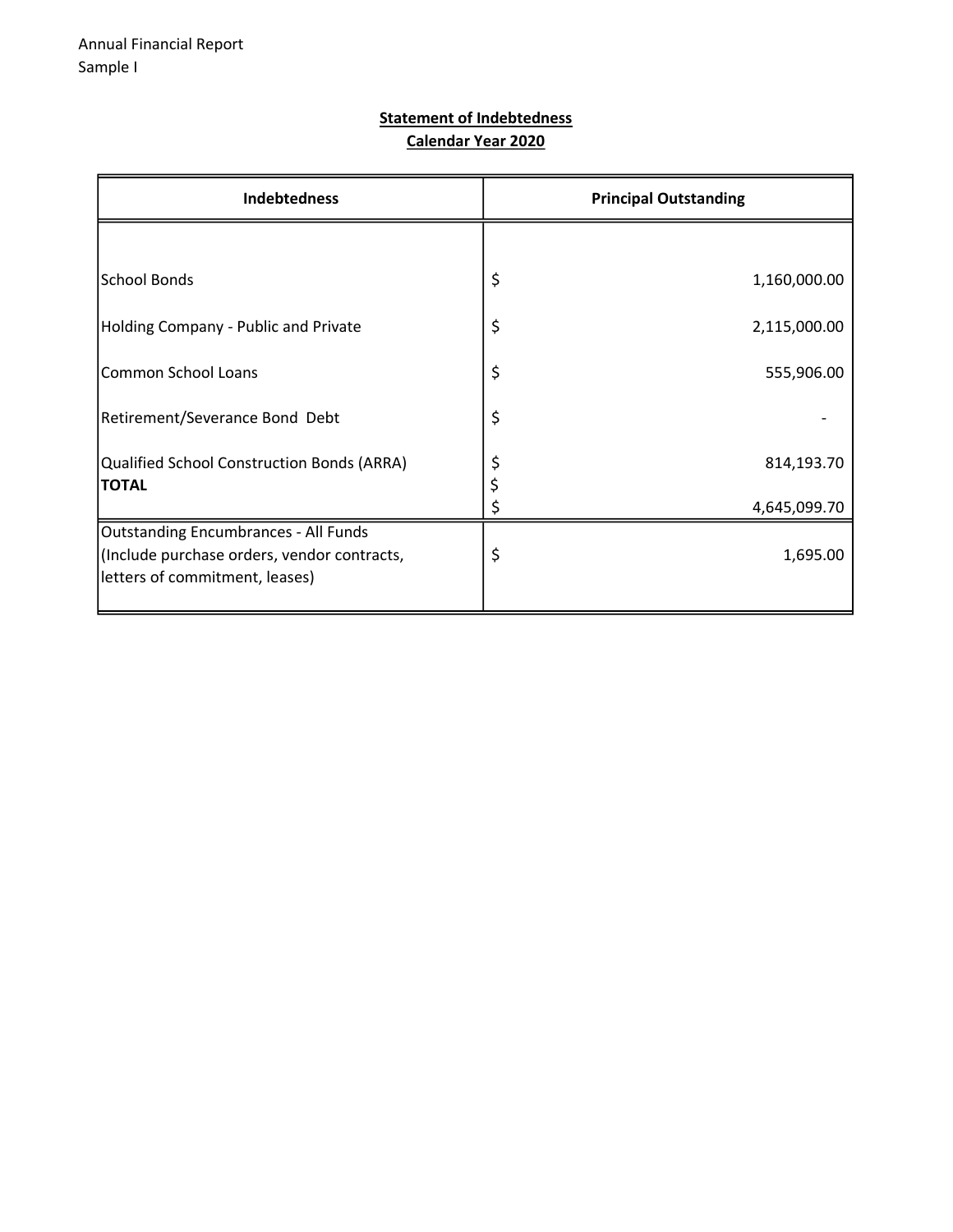#### Statement of Indebtedness Calendar Year 2020

| <b>Indebtedness</b>                                                                                                   | <b>Principal Outstanding</b> |
|-----------------------------------------------------------------------------------------------------------------------|------------------------------|
|                                                                                                                       |                              |
| School Bonds                                                                                                          | \$<br>1,160,000.00           |
| Holding Company - Public and Private                                                                                  | \$<br>2,115,000.00           |
| Common School Loans                                                                                                   | \$<br>555,906.00             |
| Retirement/Severance Bond Debt                                                                                        | \$                           |
| Qualified School Construction Bonds (ARRA)<br><b>TOTAL</b>                                                            | \$<br>814,193.70<br>\$       |
|                                                                                                                       | 4,645,099.70                 |
| Outstanding Encumbrances - All Funds<br>(Include purchase orders, vendor contracts,<br>letters of commitment, leases) | \$<br>1,695.00               |